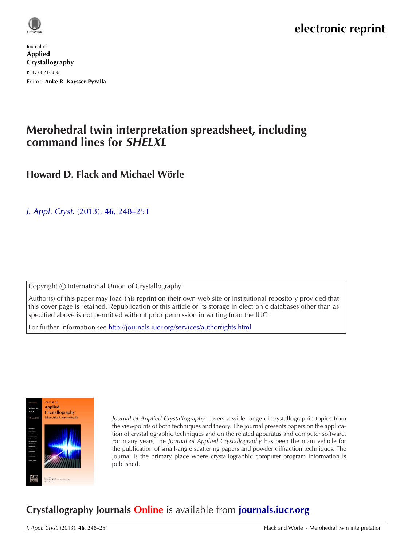

Journal of Applied Crystallography ISSN 0021-8898 Editor: [Anke R. Kaysser-Pyzalla](http://journals.iucr.org/j/)

# **Merohedral twin interpretation spreadsheet, including command lines for SHELXL**

**Howard D. Flack and Michael Wörle** 

J. Appl. Cryst. (2013). **46**[, 248–251](http://dx.doi.org/10.1107/S0021889812044974)

Copyright © International Union of Crystallography

Author(s) of this paper may load this reprint on their own web site or institutional repository provided that this cover page is retained. Republication of this article or its storage in electronic databases other than as specified above is not permitted without prior permission in writing from the IUCr.

For further information see <http://journals.iucr.org/services/authorrights.html>



Journal of Applied Crystallography covers a wide range of crystallographic topics from the viewpoints of both techniques and theory. The journal presents papers on the application of crystallographic techniques and on the related apparatus and computer software. For many years, the Journal of Applied Crystallography has been the main vehicle for the publication of small-angle scattering papers and powder diffraction techniques. The journal is the primary place where crystallographic computer program information is published.

# **Crystallography Journals Online** is available from **[journals.iucr.org](http://journals.iucr.org)**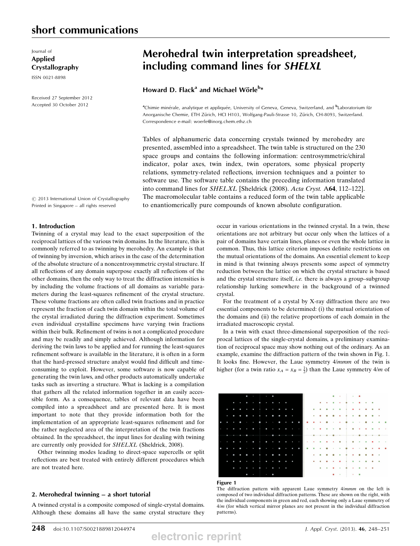Journal of Applied Crystallography

ISSN 0021-8898

Received 27 September 2012 Accepted 30 October 2012

# Merohedral twin interpretation spreadsheet, including command lines for SHELXL

## Howard D. Flack<sup>a</sup> and Michael Wörle<sup>b\*</sup>

<sup>a</sup>Chimie minérale, analytique et appliquée, University of Geneva, Geneva, Switzerland, and <sup>b</sup>Laboratorium für Anorganische Chemie, ETH Zürich, HCI H103, Wolfgang-Pauli-Strasse 10, Zürich, CH-8093, Switzerland. Correspondence e-mail: woerle@inorg.chem.ethz.ch

Tables of alphanumeric data concerning crystals twinned by merohedry are presented, assembled into a spreadsheet. The twin table is structured on the 230 space groups and contains the following information: centrosymmetric/chiral indicator, polar axes, twin index, twin operators, some physical property relations, symmetry-related reflections, inversion techniques and a pointer to software use. The software table contains the preceding information translated into command lines for SHELXL [Sheldrick (2008). Acta Cryst. A64, 112–122]. The macromolecular table contains a reduced form of the twin table applicable to enantiomerically pure compounds of known absolute configuration.

 $©$  2013 International Union of Crystallography Printed in Singapore – all rights reserved

#### 1. Introduction

Twinning of a crystal may lead to the exact superposition of the reciprocal lattices of the various twin domains. In the literature, this is commonly referred to as twinning by merohedry. An example is that of twinning by inversion, which arises in the case of the determination of the absolute structure of a noncentrosymmetric crystal structure. If all reflections of any domain superpose exactly all reflections of the other domains, then the only way to treat the diffraction intensities is by including the volume fractions of all domains as variable parameters during the least-squares refinement of the crystal structure. These volume fractions are often called twin fractions and in practice represent the fraction of each twin domain within the total volume of the crystal irradiated during the diffraction experiment. Sometimes even individual crystalline specimens have varying twin fractions within their bulk. Refinement of twins is not a complicated procedure and may be readily and simply achieved. Although information for deriving the twin laws to be applied and for running the least-squares refinement software is available in the literature, it is often in a form that the hard-pressed structure analyst would find difficult and timeconsuming to exploit. However, some software is now capable of generating the twin laws, and other products automatically undertake tasks such as inverting a structure. What is lacking is a compilation that gathers all the related information together in an easily accessible form. As a consequence, tables of relevant data have been compiled into a spreadsheet and are presented here. It is most important to note that they provide information both for the implementation of an appropriate least-squares refinement and for the rather neglected area of the interpretation of the twin fractions obtained. In the spreadsheet, the input lines for dealing with twining are currently only provided for SHELXL (Sheldrick, 2008).

Other twinning modes leading to direct-space supercells or split reflections are best treated with entirely different procedures which are not treated here.

### 2. Merohedral twinning – a short tutorial

A twinned crystal is a composite composed of single-crystal domains. Although these domains all have the same crystal structure they

occur in various orientations in the twinned crystal. In a twin, these orientations are not arbitrary but occur only when the lattices of a pair of domains have certain lines, planes or even the whole lattice in common. Thus, this lattice criterion imposes definite restrictions on the mutual orientations of the domains. An essential element to keep in mind is that twinning always presents some aspect of symmetry reduction between the lattice on which the crystal structure is based and the crystal structure itself, i.e. there is always a group–subgroup relationship lurking somewhere in the background of a twinned crystal.

For the treatment of a crystal by X-ray diffraction there are two essential components to be determined: (i) the mutual orientation of the domains and (ii) the relative proportions of each domain in the irradiated macroscopic crystal.

In a twin with exact three-dimensional superposition of the reciprocal lattices of the single-crystal domains, a preliminary examination of reciprocal space may show nothing out of the ordinary. As an example, examine the diffraction pattern of the twin shown in Fig. 1. It looks fine. However, the Laue symmetry 4/mmm of the twin is higher (for a twin ratio  $x_A = x_B = \frac{1}{2}$ ) than the Laue symmetry  $4/m$  of

|        |   |   |   | ٠      |        |           | ٠         | ٠         |   |   |           |              |        |                     |           |                                       |           |                         |           | $\bullet\qquad \bullet\qquad \bullet\qquad \bullet$ |                        |                        |                     |           |        |
|--------|---|---|---|--------|--------|-----------|-----------|-----------|---|---|-----------|--------------|--------|---------------------|-----------|---------------------------------------|-----------|-------------------------|-----------|-----------------------------------------------------|------------------------|------------------------|---------------------|-----------|--------|
|        |   |   |   |        |        |           |           |           |   |   |           |              |        |                     |           |                                       |           |                         |           |                                                     |                        |                        |                     |           |        |
|        |   | ٠ |   |        | ٠      | $\bullet$ | ٠         | ٠         | ٠ |   |           |              |        |                     | $\bullet$ | ٠                                     |           |                         |           |                                                     |                        |                        | ٠                   |           |        |
|        | ٠ | ٠ |   | ٠      | ٠      |           | ٠         | ٠         | ٠ |   | ٠         |              |        | ٠                   | ۰         | $\bullet$                             | $\bullet$ | $\bullet$               |           | ٠                                                   | $\sim$                 | $\bullet$              | $\bullet$           | $\bullet$ |        |
|        |   |   |   |        |        |           |           |           |   |   |           |              |        |                     |           |                                       |           |                         |           |                                                     |                        |                        |                     |           |        |
|        | ٠ | ٠ |   |        | ٠      | $\bullet$ | $\bullet$ | $\bullet$ |   |   |           |              |        | ٠                   | ۰         | $\bullet$                             | $\bullet$ | $\bullet$               | $\bullet$ | ٠                                                   |                        | $\bullet$              |                     | ٠         |        |
|        | ٠ | ٠ | ٠ | $\sim$ | $\sim$ | $\bullet$ | ı         | $\sim$    | ٠ | ٠ | $\bullet$ | $\bullet$    |        |                     | ٠         | $\bullet$                             |           | $\cdot$ $\cdot$ $\cdot$ |           | $\sim$                                              | $\cdots$               | ٠                      | $\bullet$           | ٠         |        |
|        |   |   |   |        | ٠      |           |           | ٠         |   | ٠ | ٠         | $\sim$       | $\sim$ | <b>Security</b>     |           | $\bullet\qquad \bullet\qquad \bullet$ |           | $\bullet$               |           | ٠                                                   | $\bullet\qquad\bullet$ |                        | $\bullet$ $\bullet$ |           | $\sim$ |
|        |   |   |   |        |        |           |           |           |   |   |           |              |        |                     |           |                                       |           |                         |           |                                                     |                        |                        |                     |           |        |
|        |   |   |   |        |        |           |           |           |   |   |           |              |        |                     |           |                                       |           |                         |           |                                                     |                        |                        |                     |           |        |
| $\sim$ | ٠ | ٠ | ٠ | ٠      | ٠      | ٠         | ٠         | ٠         | ٠ | ٠ | ٠         | $\mathbf{r}$ |        |                     |           |                                       |           | $\bullet$               | ٠         | $\bullet$                                           | $\sim$                 | $\bullet\qquad\bullet$ |                     | $\sim$    | $\sim$ |
|        |   | ٠ |   | ٠      | ٠      | ٠         | ٠         | ı         | ٠ | ٠ | ٠         | $\bullet$    |        | $\bullet$ $\bullet$ |           |                                       |           |                         |           |                                                     | $\sim$                 | $\bullet$ $\bullet$    |                     |           |        |
|        |   |   |   |        |        |           |           |           |   |   |           |              |        |                     |           |                                       |           |                         |           |                                                     |                        |                        |                     |           |        |
|        | ٠ | ٠ | ٠ |        | ٠      | $\bullet$ | ٠         | $\bullet$ | ٠ | ٠ | ٠         |              |        | ٠                   |           | $\bullet\qquad\bullet$                | $\bullet$ | $\bullet$               | $\bullet$ | ٠                                                   | ٠                      | $\bullet$              |                     |           |        |
|        | ٠ | ٠ |   | ٠      | ٠      | ٠         | ٠         | ٠         | ٠ | ٠ | ٠         |              |        | ۰                   | $\bullet$ | $\bullet$                             | $\bullet$ | $\bullet$               |           | ۰                                                   | $\bullet$              | $\bullet$              | $\bullet$           | ٠         |        |
|        |   |   |   |        |        |           |           |           |   |   |           |              |        |                     |           |                                       |           |                         |           |                                                     |                        |                        |                     |           |        |
|        |   |   |   |        |        |           |           |           | ٠ |   |           |              |        |                     | ٠         | $\bullet$                             |           | $\sim$                  | $\bullet$ | $\bullet$                                           | $\bullet$              | $\bullet$              |                     |           |        |
|        |   |   |   |        |        |           |           |           |   |   |           |              |        |                     |           |                                       |           | $\sim$                  |           | $\cdots$                                            |                        |                        |                     |           |        |

#### Figure 1

The diffraction pattern with apparent Laue symmetry 4/mmm on the left is composed of two individual diffraction patterns. These are shown on the right, with the individual components in green and red, each showing only a Laue symmetry of 4/m (for which vertical mirror planes are not present in the individual diffraction patterns).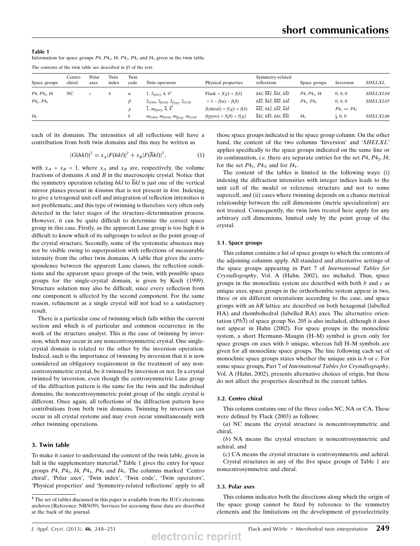| Table 1                                                                                               |  |  |  |
|-------------------------------------------------------------------------------------------------------|--|--|--|
| Information for space groups $P_4$ , $P_4$ , $P_4$ , $P_4$ , $P_4$ and $I_4$ given in the twin table. |  |  |  |

| Space groups    | Centro<br>chiral | Polar<br>axes | Twin<br>index | Twin<br>code | Twin operators                                                | Physical properties                  | Symmetry-related<br>reflections                               | Space groups          | Inversion                   | <b>SHELXL</b>   |
|-----------------|------------------|---------------|---------------|--------------|---------------------------------------------------------------|--------------------------------------|---------------------------------------------------------------|-----------------------|-----------------------------|-----------------|
| $P_4, P_4, I_4$ | NC.              |               |               | $\alpha$     | $1, 2_{[001]}, 4, 4^3$                                        | Flack = $f(\chi)$ + $f(\delta)$      | hkl, $\overline{hkl}$ , $\overline{khl}$ , $k\overline{hl}$   | $P_4$ , $P_4$ , $I_4$ | 0, 0, 0                     | <i>SHELXL04</i> |
| $P_1$ , $P_2$   |                  |               |               | β            | $2_{[100]}, 2_{[010]}, 2_{[\overline{1}10]}, 2_{[110]}$       | $= 1 - f(\alpha) - f(\beta)$         | hkl, hkl, khl, khl                                            | $P_1$ , $P_2$         | 0, 0, 0                     | SHELXL05        |
|                 |                  |               |               | χ            | $\overline{1}, m_{[001]}, \overline{4}, \overline{4}^{\circ}$ | $f$ (chiral) = $f(\chi) + f(\delta)$ | $\overline{hkl}$ , hkl, khl, khl                              |                       | $P4_1 \leftrightarrow P4_3$ |                 |
| I4 <sub>1</sub> |                  |               |               | Ò            | $m_{[100]}, m_{[010]}, m_{[\overline{1}10]}, m_{[110]}$       | $f(p) = f(\beta) + f(\chi)$          | $\overline{h}$ kl, h $\overline{k}$ l, khl, $\overline{k}$ hl | $I4_1$                | $\frac{1}{4}$ , 0, 0        | <i>SHELXL06</i> |

The contents of the twin table are described in  $\S$ 3 of the text.

each of its domains. The intensities of all reflections will have a contribution from both twin domains and this may be written as

$$
|G(hkl)|^2 = x_A |F(hkl)|^2 + x_B |F(\overline{h}kl)|^2, \tag{1}
$$

with  $x_A + x_B = 1$ , where  $x_A$  and  $x_B$  are, respectively, the volume fractions of domains  $A$  and  $B$  in the macroscopic crystal. Notice that the symmetry operation relating hkl to  $\overline{h}$ kl is just one of the vertical mirror planes present in  $4/mm$  that is not present in  $4/m$ . Indexing to give a tetragonal unit cell and integration of reflection intensities is not problematic, and this type of twinning is therefore very often only detected in the later stages of the structure-determination process. However, it can be quite difficult to determine the correct space group in this case. Firstly, as the apparent Laue group is too high it is difficult to know which of its subgroups to select as the point group of the crystal structure. Secondly, some of the systematic absences may not be visible owing to superposition with reflections of measurable intensity from the other twin domains. A table that gives the correspondence between the apparent Laue classes, the reflection conditions and the apparent space groups of the twin, with possible space groups for the single-crystal domain, is given by Koch (1999). Structure solution may also be difficult, since every reflection from one component is affected by the second component. For the same reason, refinement as a single crystal will not lead to a satisfactory result.

There is a particular case of twinning which falls within the current section and which is of particular and common occurrence in the work of the structure analyst. This is the case of twinning by inversion, which may occur in any noncentrosymmetric crystal. One singlecrystal domain is related to the other by the inversion operation. Indeed, such is the importance of twinning by inversion that it is now considered an obligatory requirement in the treatment of any noncentrosymmetric crystal, be it twinned by inversion or not. In a crystal twinned by inversion, even though the centrosymmetric Laue group of the diffraction pattern is the same for the twin and the individual domains, the noncentrosymmetric point group of the single crystal is different. Once again, all reflections of the diffraction pattern have contributions from both twin domains. Twinning by inversion can occur in all crystal systems and may even occur simultaneously with other twinning operations.

#### 3. Twin table

To make it easier to understand the content of the twin table, given in full in the supplementary material, $<sup>1</sup>$  Table 1 gives the entry for space</sup> groups  $P4$ ,  $P4_2$ ,  $I4$ ,  $P4_1$ ,  $P4_3$  and  $I4_1$ . The columns marked 'Centro chiral', 'Polar axes', 'Twin index', 'Twin code', 'Twin operators', 'Physical properties' and 'Symmetry-related reflections' apply to all those space groups indicated in the space group column. On the other hand, the content of the two columns 'Inversion' and 'SHELXL' applies specifically to the space groups indicated on the same line or its continuation, *i.e.* there are separate entries for the set  $P4$ ,  $P4<sub>2</sub>$ ,  $I4$ ; for the set  $P4_1$ ,  $P4_3$ ; and for  $I4_1$ .

The content of the tables is limited in the following ways: (i) indexing the diffraction intensities with integer indices leads to the unit cell of the model or reference structure and not to some supercell, and (ii) cases where twinning depends on a chance metrical relationship between the cell dimensions (metric specialization) are not treated. Consequently, the twin laws treated here apply for any arbitrary cell dimensions, limited only by the point group of the crystal.

#### 3.1. Space groups

This column contains a list of space groups to which the contents of the adjoining columns apply. All standard and alternative settings of the space groups appearing in Part 7 of International Tables for Crystallography, Vol. A (Hahn, 2002), are included. Thus, space groups in the monoclinic system are described with both  $b$  and  $c$  as unique axes, space groups in the orthorhombic system appear in two, three or six different orientations according to the case, and space groups with an  $hR$  lattice are described on both hexagonal (labelled HA) and rhombohedral (labelled RA) axes. The alternative orientation  $(Pb\overline{3})$  of space group No. 205 is also included, although it does not appear in Hahn (2002). For space groups in the monoclinic system, a short Hermann–Maugin (H–M) symbol is given only for space groups on axes with  $b$  unique, whereas full H–M symbols are given for all monoclinic space groups. The line following each set of monoclinic space groups states whether the unique axis is  $b$  or  $c$ . For some space groups, Part 7 of International Tables for Crystallography, Vol. A (Hahn, 2002), presents alternative choices of origin, but these do not affect the properties described in the current tables.

#### 3.2. Centro chiral

This column contains one of the three codes NC, NA or CA. These were defined by Flack (2003) as follows:

(a) NC means the crystal structure is noncentrosymmetric and chiral,

(b) NA means the crystal structure is noncentrosymmetric and achiral, and

(c) CA means the crystal structure is centrosymmetric and achiral. Crystal structures in any of the five space groups of Table 1 are noncentrosymmetric and chiral.

#### 3.3. Polar axes

This column indicates both the directions along which the origin of the space group cannot be fixed by reference to the symmetry elements and the limitations on the development of pyroelectricity.

 $^{\rm 1}$  The set of tables discussed in this paper is available from the IUCr electronic archives (Reference: NB5039). Services for accessing these data are described at the back of the journal.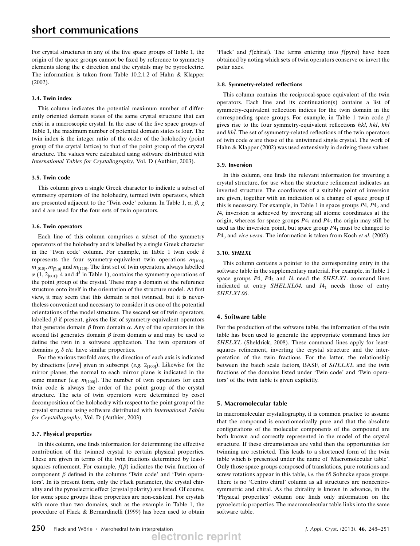For crystal structures in any of the five space groups of Table 1, the origin of the space groups cannot be fixed by reference to symmetry elements along the c direction and the crystals may be pyroelectric. The information is taken from Table 10.2.1.2 of Hahn & Klapper (2002).

### 3.4. Twin index

This column indicates the potential maximum number of differently oriented domain states of the same crystal structure that can exist in a macroscopic crystal. In the case of the five space groups of Table 1, the maximum number of potential domain states is four. The twin index is the integer ratio of the order of the holohedry (point group of the crystal lattice) to that of the point group of the crystal structure. The values were calculated using software distributed with International Tables for Crystallography, Vol. D (Authier, 2003).

## 3.5. Twin code

This column gives a single Greek character to indicate a subset of symmetry operators of the holohedry, termed twin operators, which are presented adjacent to the 'Twin code' column. In Table 1,  $\alpha$ ,  $\beta$ ,  $\chi$ and  $\delta$  are used for the four sets of twin operators.

## 3.6. Twin operators

Each line of this column comprises a subset of the symmetry operators of the holohedry and is labelled by a single Greek character in the 'Twin code' column. For example, in Table 1 twin code  $\delta$ represents the four symmetry-equivalent twin operations  $m_{[100]}$ ,  $m_{[010]}$ ,  $m_{\overline{[110]}}$  and  $m_{[110]}$ . The first set of twin operators, always labelled  $\alpha$  (1, 2<sub>[001]</sub>, 4 and 4<sup>3</sup> in Table 1), contains the symmetry operations of the point group of the crystal. These map a domain of the reference structure onto itself in the orientation of the structure model. At first view, it may seem that this domain is not twinned, but it is nevertheless convenient and necessary to consider it as one of the potential orientations of the model structure. The second set of twin operators, labelled  $\beta$  if present, gives the list of symmetry-equivalent operators that generate domain  $\beta$  from domain  $\alpha$ . Any of the operators in this second list generates domain  $\beta$  from domain  $\alpha$  and may be used to define the twin in a software application. The twin operators of domains  $\chi$ ,  $\delta$  etc. have similar properties.

For the various twofold axes, the direction of each axis is indicated by directions  $[uvw]$  given in subscript (e.g.  $2_{[100]}$ ). Likewise for the mirror planes, the normal to each mirror plane is indicated in the same manner (e.g.  $m_{[100]}$ ). The number of twin operators for each twin code is always the order of the point group of the crystal structure. The sets of twin operators were determined by coset decomposition of the holohedry with respect to the point group of the crystal structure using software distributed with International Tables for Crystallography, Vol. D (Authier, 2003).

## 3.7. Physical properties

In this column, one finds information for determining the effective contribution of the twinned crystal to certain physical properties. These are given in terms of the twin fractions determined by leastsquares refinement. For example,  $f(\beta)$  indicates the twin fraction of component  $\beta$  defined in the columns 'Twin code' and 'Twin operators'. In its present form, only the Flack parameter, the crystal chirality and the pyroelectric effect (crystal polarity) are listed. Of course, for some space groups these properties are non-existent. For crystals with more than two domains, such as the example in Table 1, the procedure of Flack & Bernardinelli (1999) has been used to obtain

'Flack' and  $f$ (chiral). The terms entering into  $f$ (pyro) have been obtained by noting which sets of twin operators conserve or invert the polar axes.

### 3.8. Symmetry-related reflections

This column contains the reciprocal-space equivalent of the twin operators. Each line and its continuation(s) contains a list of symmetry-equivalent reflection indices for the twin domain in the corresponding space groups. For example, in Table 1 twin code  $\beta$ gives rise to the four symmetry-equivalent reflections  $h\overline{k}\overline{l}$ ,  $\overline{h}k\overline{l}$ ,  $\overline{k}\overline{h}\overline{l}$ and khl. The set of symmetry-related reflections of the twin operators of twin code  $\alpha$  are those of the untwinned single crystal. The work of Hahn & Klapper (2002) was used extensively in deriving these values.

## 3.9. Inversion

In this column, one finds the relevant information for inverting a crystal structure, for use when the structure refinement indicates an inverted structure. The coordinates of a suitable point of inversion are given, together with an indication of a change of space group if this is necessary. For example, in Table 1 in space groups  $P_1$ ,  $P_2$  and I4, inversion is achieved by inverting all atomic coordinates at the origin, whereas for space groups  $P4<sub>1</sub>$  and  $P4<sub>3</sub>$  the origin may still be used as the inversion point, but space group  $P4<sub>1</sub>$  must be changed to  $P4<sub>3</sub>$  and vice versa. The information is taken from Koch et al. (2002).

## 3.10. SHELXL

This column contains a pointer to the corresponding entry in the software table in the supplementary material. For example, in Table 1 space groups  $P_4$ ,  $P_4$  and  $I_4$  need the *SHELXL* command lines indicated at entry  $SHELXLO4$ , and  $I4<sub>1</sub>$  needs those of entry SHELXL06.

## 4. Software table

For the production of the software table, the information of the twin table has been used to generate the appropriate command lines for SHELXL (Sheldrick, 2008). These command lines apply for leastsquares refinement, inverting the crystal structure and the interpretation of the twin fractions. For the latter, the relationship between the batch scale factors, BASF, of SHELXL and the twin fractions of the domains listed under 'Twin code' and 'Twin operators' of the twin table is given explicitly.

## 5. Macromolecular table

In macromolecular crystallography, it is common practice to assume that the compound is enantiomerically pure and that the absolute configurations of the molecular components of the compound are both known and correctly represented in the model of the crystal structure. If these circumstances are valid then the opportunities for twinning are restricted. This leads to a shortened form of the twin table which is presented under the name of 'Macromolecular table'. Only those space groups composed of translations, pure rotations and screw rotations appear in this table, *i.e.* the 65 Sohncke space groups. There is no 'Centro chiral' column as all structures are noncentrosymmetric and chiral. As the chirality is known in advance, in the 'Physical properties' column one finds only information on the pyroelectric properties. The macromolecular table links into the same software table.